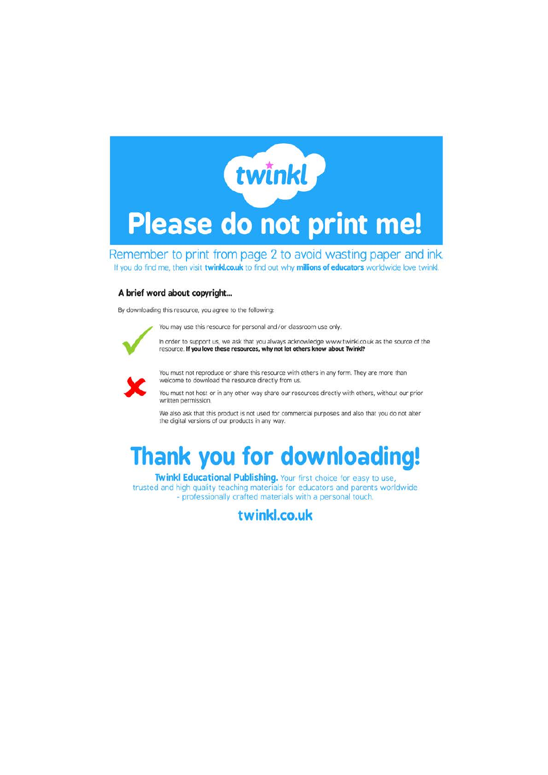

Remember to print from page 2 to avoid wasting paper and ink. If you do find me, then visit twinkl.co.uk to find out why millions of educators worldwide love twinkl.

#### A brief word about copyright...

By downloading this resource, you agree to the following

You may use this resource for personal and/or classroom use only.



In order to support us, we ask that you always acknowledge www.twinkl.co.uk as the source of the resource. If you love these resources, why not let others know about Twink!?



You must not reproduce or share this resource with others in any form. They are more than welcome to download the resource directly from us.

You must not host or in any other way share our resources directly with others, without our prior written permission.

We also ask that this product is not used for commercial purposes and also that you do not alter the digital versions of our products in any way.

### **Thank you for downloading!**

Twinkl Educational Publishing. Your first choice for easy to use, trusted and high quality teaching materials for educators and parents worldwide - professionally crafted materials with a personal touch.

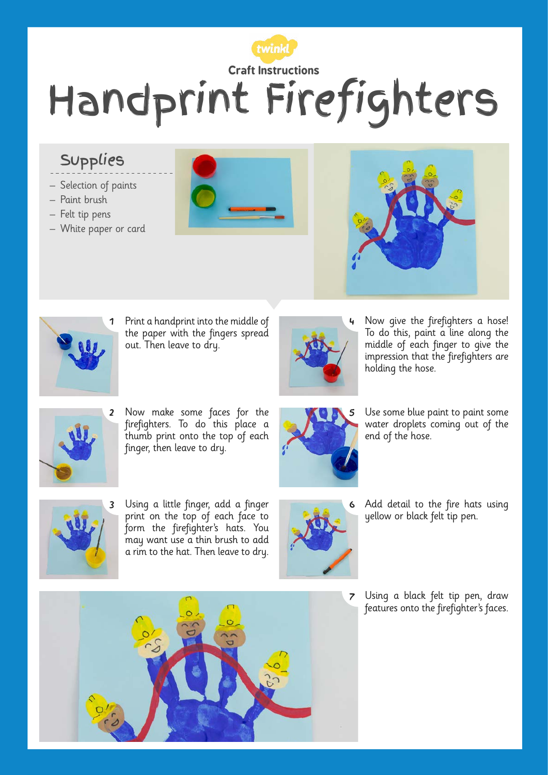

### Supplies

- Selection of paints
- Paint brush
- Felt tip pens
- White paper or card







1 Print a handprint into the middle of the paper with the fingers spread out. Then leave to dry.



4 Now give the firefighters a hose! To do this, paint a line along the middle of each finger to give the impression that the firefighters are holding the hose.



Now make some faces for the firefighters. To do this place a thumb print onto the top of each finger, then leave to dry.



5 Use some blue paint to paint some water droplets coming out of the end of the hose.



Using a little finger, add a finger print on the top of each face to form the firefighter's hats. You may want use a thin brush to add a rim to the hat. Then leave to dry.



6 Add detail to the fire hats using yellow or black felt tip pen.

7 Using a black felt tip pen, draw features onto the firefighter's faces.

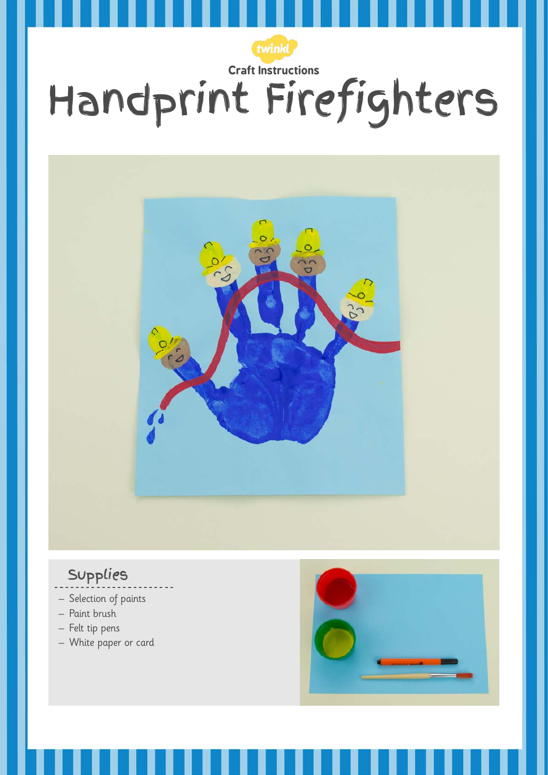

#### Supplies

- Selection of paints
- Paint brush
- Felt tip pens
- White paper or card

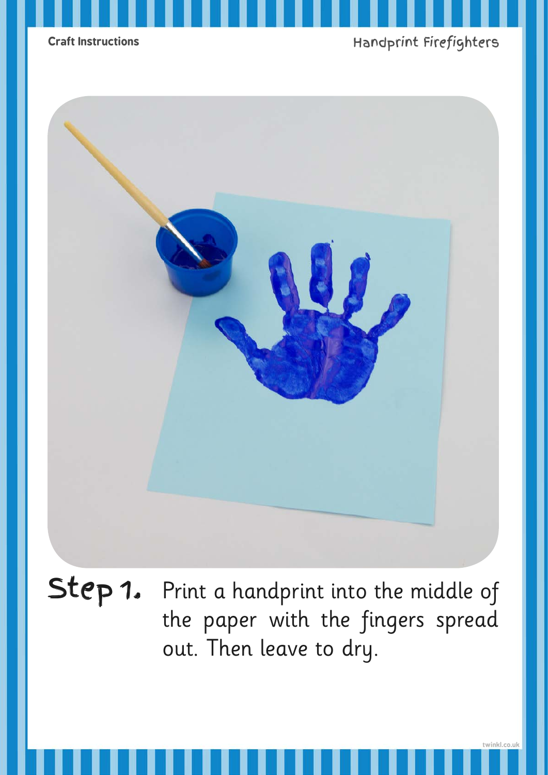



Step 1. Print a handprint into the middle of the paper with the fingers spread out. Then leave to dry.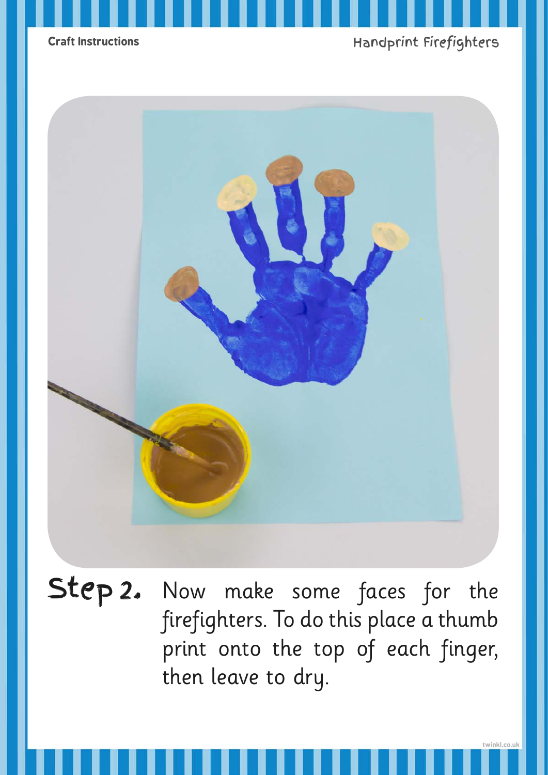

Step 2. Now make some faces for the firefighters. To do this place a thumb print onto the top of each finger, then leave to dry.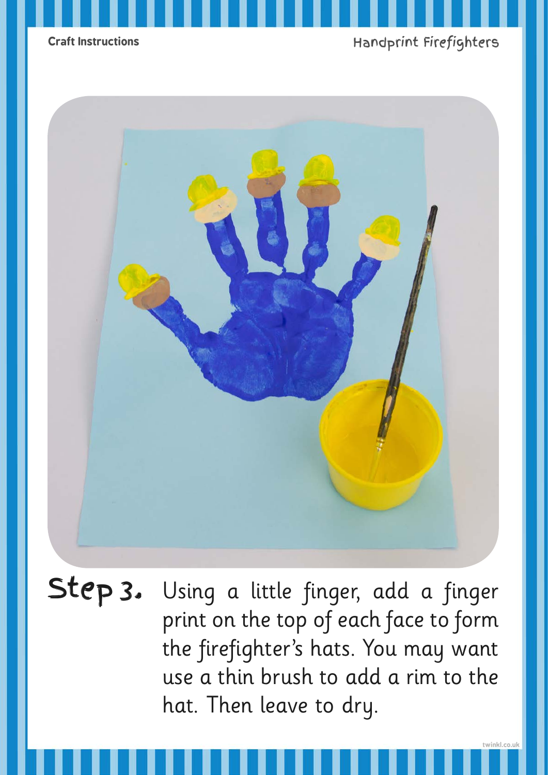



Step 3. Using a little finger, add a finger print on the top of each face to form the firefighter's hats. You may want use a thin brush to add a rim to the hat. Then leave to dry.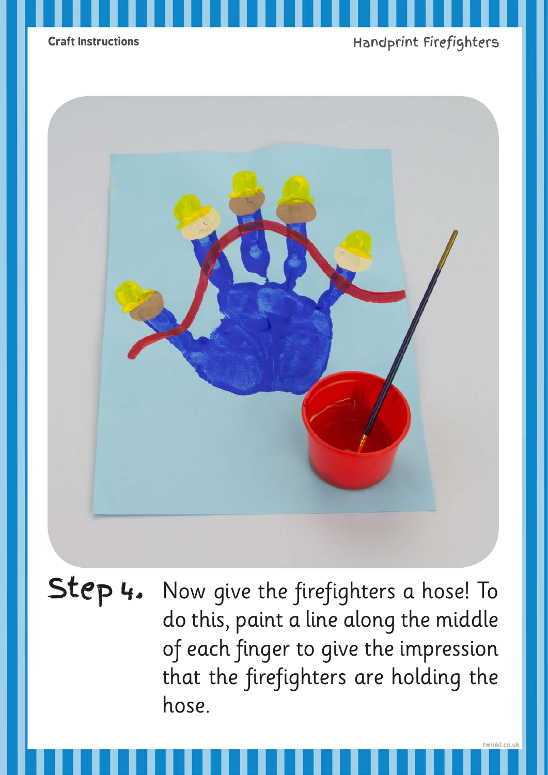



Step 4. Now give the firefighters a hose! To do this, paint a line along the middle of each finger to give the impression that the firefighters are holding the hose.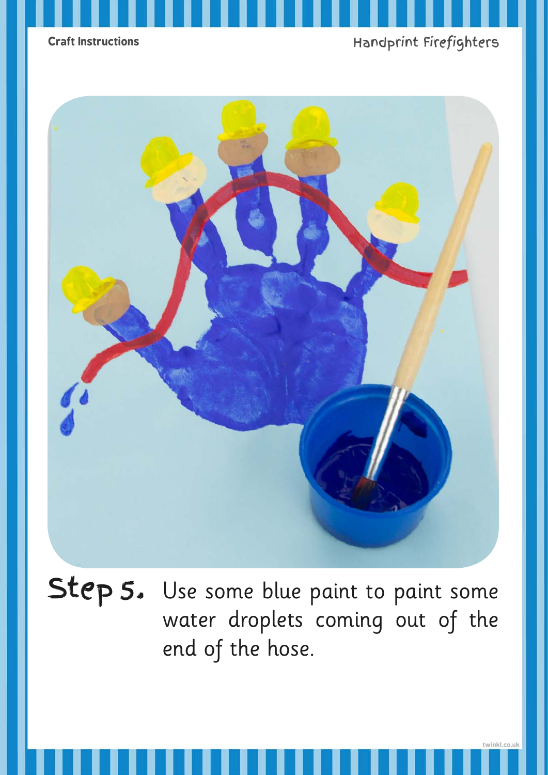



Step 5. Use some blue paint to paint some water droplets coming out of the end of the hose.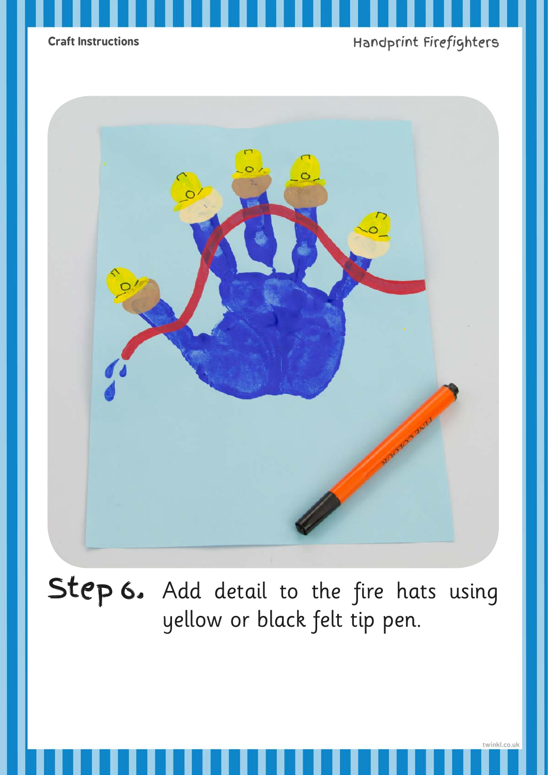![](_page_8_Picture_0.jpeg)

![](_page_8_Picture_2.jpeg)

Step 6. Add detail to the fire hats using yellow or black felt tip pen.